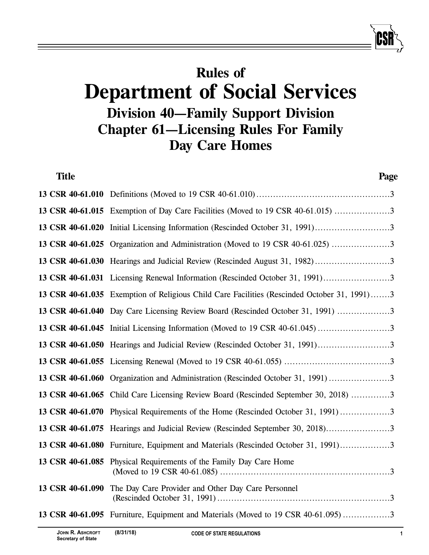# **Rules of Department of Social Services Division 40—Family Support Division Chapter 61—Licensing Rules For Family Day Care Homes**

| <b>Title</b>     | Page                                                                                        |
|------------------|---------------------------------------------------------------------------------------------|
|                  |                                                                                             |
|                  | 13 CSR 40-61.015 Exemption of Day Care Facilities (Moved to 19 CSR 40-61.015) 3             |
| 13 CSR 40-61.020 | Initial Licensing Information (Rescinded October 31, 1991)3                                 |
|                  | 13 CSR 40-61.025 Organization and Administration (Moved to 19 CSR 40-61.025) 3              |
|                  |                                                                                             |
|                  |                                                                                             |
|                  | 13 CSR 40-61.035 Exemption of Religious Child Care Facilities (Rescinded October 31, 1991)3 |
|                  | 13 CSR 40-61.040 Day Care Licensing Review Board (Rescinded October 31, 1991) 3             |
|                  |                                                                                             |
|                  |                                                                                             |
|                  |                                                                                             |
|                  | 13 CSR 40-61.060 Organization and Administration (Rescinded October 31, 1991) 3             |
|                  | 13 CSR 40-61.065 Child Care Licensing Review Board (Rescinded September 30, 2018) 3         |
|                  | 13 CSR 40-61.070 Physical Requirements of the Home (Rescinded October 31, 1991)3            |
|                  | 13 CSR 40-61.075 Hearings and Judicial Review (Rescinded September 30, 2018)3               |
|                  | 13 CSR 40-61.080 Furniture, Equipment and Materials (Rescinded October 31, 1991)3           |
|                  | 13 CSR 40-61.085 Physical Requirements of the Family Day Care Home                          |
| 13 CSR 40-61.090 | The Day Care Provider and Other Day Care Personnel                                          |
|                  | 13 CSR 40-61.095 Furniture, Equipment and Materials (Moved to 19 CSR 40-61.095) 3           |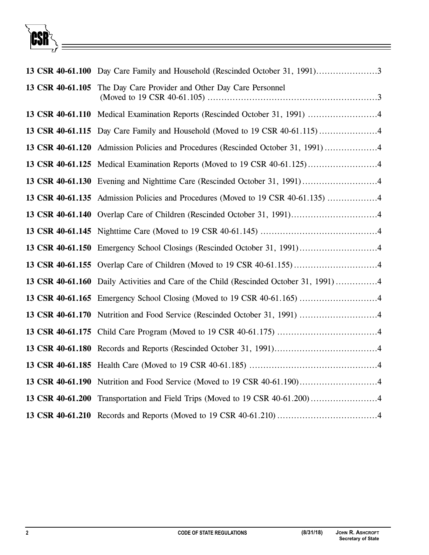CSR

|                  | 13 CSR 40-61.105 The Day Care Provider and Other Day Care Personnel                    |
|------------------|----------------------------------------------------------------------------------------|
|                  |                                                                                        |
|                  | 13 CSR 40-61.115 Day Care Family and Household (Moved to 19 CSR 40-61.115)4            |
|                  | 13 CSR 40-61.120 Admission Policies and Procedures (Rescinded October 31, 1991)4       |
|                  |                                                                                        |
|                  |                                                                                        |
|                  | 13 CSR 40-61.135 Admission Policies and Procedures (Moved to 19 CSR 40-61.135) 4       |
|                  |                                                                                        |
|                  |                                                                                        |
|                  |                                                                                        |
|                  |                                                                                        |
|                  | 13 CSR 40-61.160 Daily Activities and Care of the Child (Rescinded October 31, 1991) 4 |
|                  |                                                                                        |
|                  |                                                                                        |
|                  |                                                                                        |
|                  |                                                                                        |
|                  |                                                                                        |
| 13 CSR 40-61.190 | Nutrition and Food Service (Moved to 19 CSR 40-61.190)4                                |
| 13 CSR 40-61.200 |                                                                                        |
|                  |                                                                                        |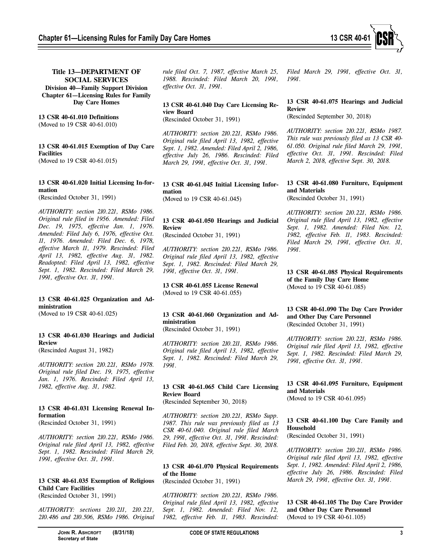

## **Title 13—DEPARTMENT OF SOCIAL SERVICES Division 40—Family Support Division Chapter 61—Licensing Rules for Family Day Care Homes**

#### **13 CSR 40-61.010 Definitions** (Moved to 19 CSR 40-61.010)

#### **13 CSR 40-61.015 Exemption of Day Care Facilities** (Moved to 19 CSR 40-61.015)

**13 CSR 40-61.020 Initial Licensing In-formation**

(Rescinded October 31, 1991)

*AUTHORITY: section 210.221, RSMo 1986. Original rule filed in 1956. Amended: Filed Dec. 19, 1975, effective Jan. 1, 1976. Amended: Filed July 6, 1976, effective Oct. 11, 1976. Amended: Filed Dec. 6, 1978, effective March 11, 1979. Rescinded: Filed April 13, 1982, effective Aug. 31, 1982. Readopted: Filed April 13, 1982, effective Sept. 1, 1982. Rescinded: Filed March 29, 1991, effective Oct. 31, 1991.*

## **13 CSR 40-61.025 Organization and Administration**

(Moved to 19 CSR 40-61.025)

#### **13 CSR 40-61.030 Hearings and Judicial Review**

(Rescinded August 31, 1982)

*AUTHORITY: section 210.221, RSMo 1978. Original rule filed Dec. 19, 1975, effective Jan. 1, 1976. Rescinded: Filed April 13, 1982, effective Aug. 31, 1982.*

## **13 CSR 40-61.031 Licensing Renewal Information**

(Rescinded October 31, 1991)

*AUTHORITY: section 210.221, RSMo 1986. Original rule filed April 13, 1982, effective Sept. 1, 1982. Rescinded: Filed March 29, 1991, effective Oct. 31, 1991.*

#### **13 CSR 40-61.035 Exemption of Religious Child Care Facilities** (Rescinded October 31, 1991)

*AUTHORITY: sections 210.211, 210.221, 210.486 and 210.506, RSMo 1986. Original* *rule filed Oct. 7, 1987, effective March 25, 1988. Rescinded: Filed March 20, 1991, effective Oct. 31, 1991.*

## **13 CSR 40-61.040 Day Care Licensing Review Board**

(Rescinded October 31, 1991)

*AUTHORITY: section 210.221, RSMo 1986. Original rule filed April 13, 1982, effective Sept. 1, 1982. Amended: Filed April 2, 1986, effective July 26, 1986. Rescinded: Filed March 29, 1991, effective Oct. 31, 1991.*

#### **13 CSR 40-61.045 Initial Licensing Information**  (Moved to 19 CSR 40-61.045)

## **13 CSR 40-61.050 Hearings and Judicial Review**

(Rescinded October 31, 1991)

*AUTHORITY: section 210.221, RSMo 1986. Original rule filed April 13, 1982, effective Sept. 1, 1982. Rescinded: Filed March 29, 1991, effective Oct. 31, 1991.*

**13 CSR 40-61.055 License Renewal**  (Moved to 19 CSR 40-61.055)

## **13 CSR 40-61.060 Organization and Administration**

(Rescinded October 31, 1991)

*AUTHORITY: section 210.211, RSMo 1986. Original rule filed April 13, 1982, effective Sept. 1, 1982. Rescinded: Filed March 29, 1991.*

## **13 CSR 40-61.065 Child Care Licensing Review Board**

(Rescinded September 30, 2018)

*AUTHORITY: section 210.221, RSMo Supp. 1987. This rule was previously filed as 13 CSR 40-61.040. Original rule filed March 29, 1991, effective Oct. 31, 1991. Rescinded: Filed Feb. 20, 2018, effective Sept. 30, 2018.*

## **13 CSR 40-61.070 Physical Requirements of the Home**

(Rescinded October 31, 1991)

*AUTHORITY: section 210.221, RSMo 1986. Original rule filed April 13, 1982, effective Sept. 1, 1982. Amended: Filed Nov. 12, 1982, effective Feb. 11, 1983. Rescinded:*

*Filed March 29, 1991, effective Oct. 31, 1991.*

## **13 CSR 40-61.075 Hearings and Judicial Review**

(Rescinded September 30, 2018)

*AUTHORITY: section 210.221, RSMo 1987. This rule was previously filed as 13 CSR 40- 61.050. Original rule filed March 29, 1991, effective Oct. 31, 1991. Rescinded: Filed March 2, 2018, effective Sept. 30, 2018.*

## **13 CSR 40-61.080 Furniture, Equipment and Materials**

(Rescinded October 31, 1991)

*AUTHORITY: section 210.221, RSMo 1986. Original rule filed April 13, 1982, effective Sept. 1, 1982. Amended: Filed Nov. 12, 1982, effective Feb. 11, 1983. Rescinded: Filed March 29, 1991, effective Oct. 31, 1991.*

**13 CSR 40-61.085 Physical Requirements of the Family Day Care Home**  (Moved to 19 CSR 40-61.085)

#### **13 CSR 40-61.090 The Day Care Provider and Other Day Care Personnel** (Rescinded October 31, 1991)

*AUTHORITY: section 210.221, RSMo 1986. Original rule filed April 13, 1982, effective Sept. 1, 1982. Rescinded: Filed March 29, 1991, effective Oct. 31, 1991.*

**13 CSR 40-61.095 Furniture, Equipment and Materials**  (Moved to 19 CSR 40-61.095)

## **13 CSR 40-61.100 Day Care Family and Household**

(Rescinded October 31, 1991)

*AUTHORITY: section 210.211, RSMo 1986. Original rule filed April 13, 1982, effective Sept. 1, 1982. Amended: Filed April 2, 1986, effective July 26, 1986. Rescinded: Filed March 29, 1991, effective Oct. 31, 1991.*

## **13 CSR 40-61.105 The Day Care Provider and Other Day Care Personnel** (Moved to 19 CSR 40-61.105)